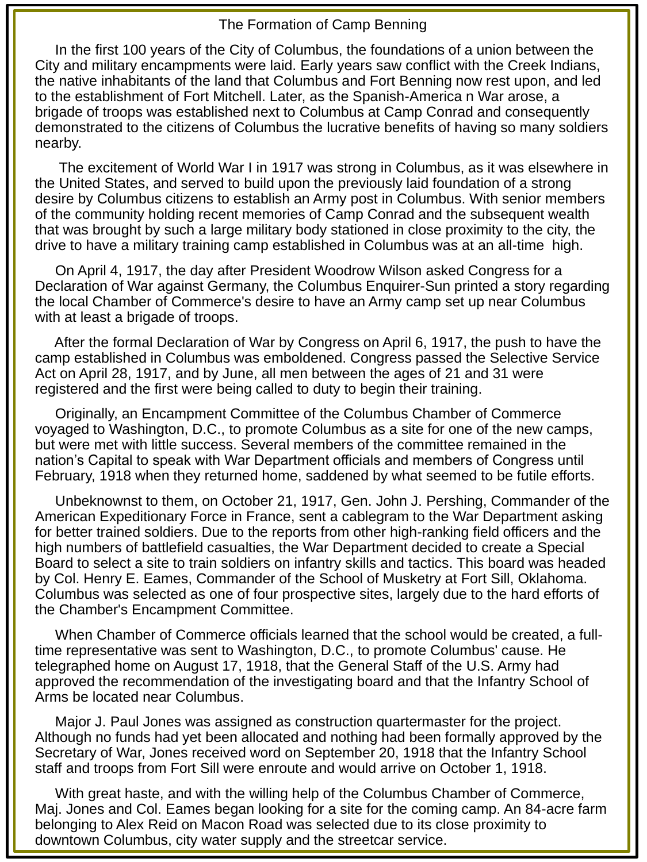## The Formation of Camp Benning

In the first 100 years of the City of Columbus, the foundations of a union between the City and military encampments were laid. Early years saw conflict with the Creek Indians, the native inhabitants of the land that Columbus and Fort Benning now rest upon, and led to the establishment of Fort Mitchell. Later, as the Spanish-America n War arose, a brigade of troops was established next to Columbus at Camp Conrad and consequently demonstrated to the citizens of Columbus the lucrative benefits of having so many soldiers nearby.

The excitement of World War I in 1917 was strong in Columbus, as it was elsewhere in the United States, and served to build upon the previously laid foundation of a strong desire by Columbus citizens to establish an Army post in Columbus. With senior members of the community holding recent memories of Camp Conrad and the subsequent wealth that was brought by such a large military body stationed in close proximity to the city, the drive to have a military training camp established in Columbus was at an all-time high.

On April 4, 1917, the day after President Woodrow Wilson asked Congress for a Declaration of War against Germany, the Columbus Enquirer-Sun printed a story regarding the local Chamber of Commerce's desire to have an Army camp set up near Columbus with at least a brigade of troops.

After the formal Declaration of War by Congress on April 6, 1917, the push to have the camp established in Columbus was emboldened. Congress passed the Selective Service Act on April 28, 1917, and by June, all men between the ages of 21 and 31 were registered and the first were being called to duty to begin their training.

Originally, an Encampment Committee of the Columbus Chamber of Commerce voyaged to Washington, D.C., to promote Columbus as a site for one of the new camps, but were met with little success. Several members of the committee remained in the nation's Capital to speak with War Department officials and members of Congress until February, 1918 when they returned home, saddened by what seemed to be futile efforts.

Unbeknownst to them, on October 21, 1917, Gen. John J. Pershing, Commander of the American Expeditionary Force in France, sent a cablegram to the War Department asking for better trained soldiers. Due to the reports from other high-ranking field officers and the high numbers of battlefield casualties, the War Department decided to create a Special Board to select a site to train soldiers on infantry skills and tactics. This board was headed by Col. Henry E. Eames, Commander of the School of Musketry at Fort Sill, Oklahoma. Columbus was selected as one of four prospective sites, largely due to the hard efforts of the Chamber's Encampment Committee.

When Chamber of Commerce officials learned that the school would be created, a fulltime representative was sent to Washington, D.C., to promote Columbus' cause. He telegraphed home on August 17, 1918, that the General Staff of the U.S. Army had approved the recommendation of the investigating board and that the Infantry School of Arms be located near Columbus.

Major J. Paul Jones was assigned as construction quartermaster for the project. Although no funds had yet been allocated and nothing had been formally approved by the Secretary of War, Jones received word on September 20, 1918 that the Infantry School staff and troops from Fort Sill were enroute and would arrive on October 1, 1918.

With great haste, and with the willing help of the Columbus Chamber of Commerce, Maj. Jones and Col. Eames began looking for a site for the coming camp. An 84-acre farm belonging to Alex Reid on Macon Road was selected due to its close proximity to downtown Columbus, city water supply and the streetcar service.